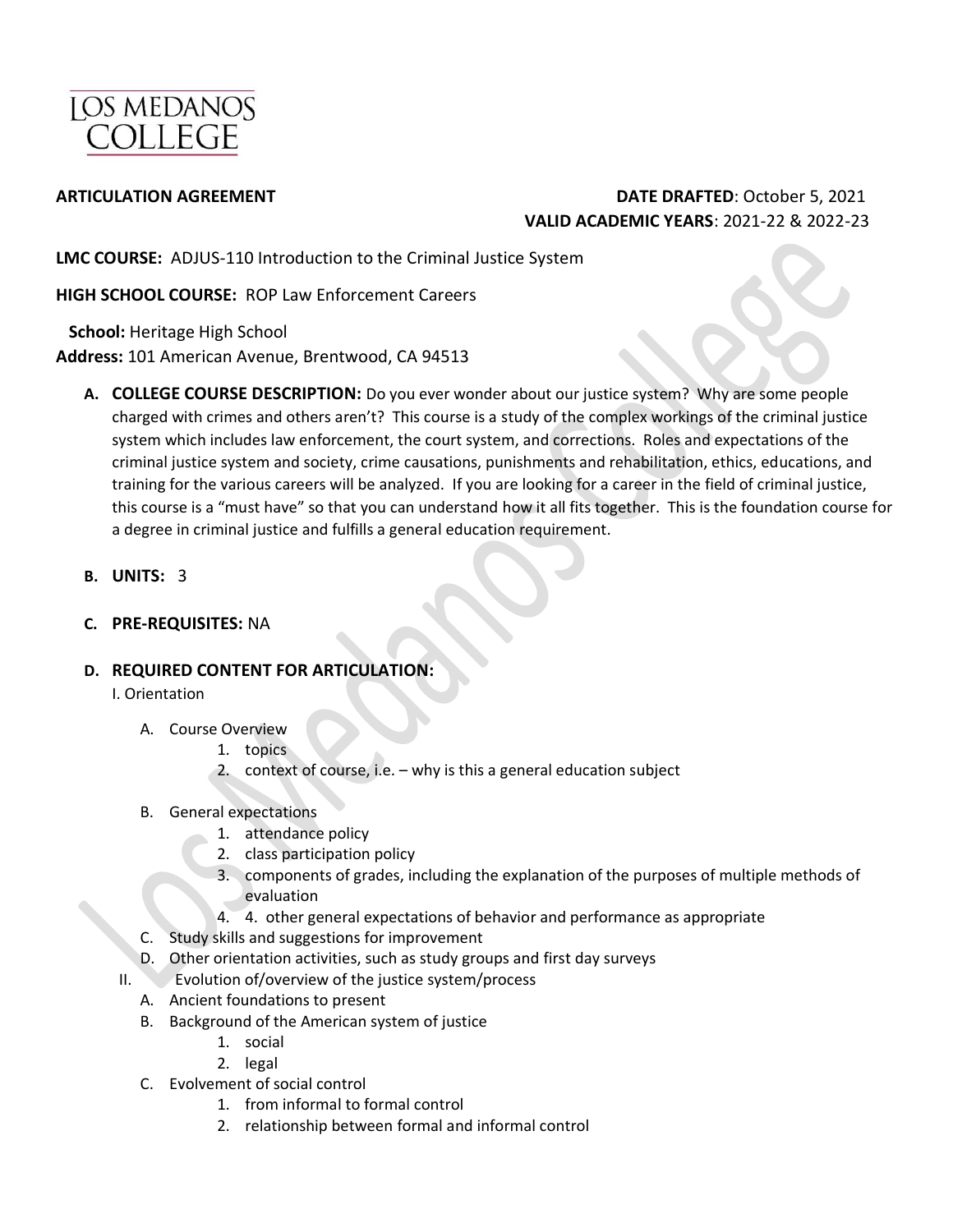

### **ARTICULATION AGREEMENT DATE DRAFTED**: October 5, 2021 **VALID ACADEMIC YEARS**: 2021-22 & 2022-23

**LMC COURSE:** ADJUS-110 Introduction to the Criminal Justice System

**HIGH SCHOOL COURSE:** ROP Law Enforcement Careers

 **School:** Heritage High School **Address:** 101 American Avenue, Brentwood, CA 94513

- **A. COLLEGE COURSE DESCRIPTION:** Do you ever wonder about our justice system? Why are some people charged with crimes and others aren't? This course is a study of the complex workings of the criminal justice system which includes law enforcement, the court system, and corrections. Roles and expectations of the criminal justice system and society, crime causations, punishments and rehabilitation, ethics, educations, and training for the various careers will be analyzed. If you are looking for a career in the field of criminal justice, this course is a "must have" so that you can understand how it all fits together. This is the foundation course for a degree in criminal justice and fulfills a general education requirement.
- **B. UNITS:** 3
- **C. PRE-REQUISITES:** NA

### **D. REQUIRED CONTENT FOR ARTICULATION:**

I. Orientation

- A. Course Overview
	- 1. topics
	- 2. context of course, i.e. why is this a general education subject
- B. General expectations
	- 1. attendance policy
	- 2. class participation policy
	- 3. components of grades, including the explanation of the purposes of multiple methods of evaluation
	- 4. 4. other general expectations of behavior and performance as appropriate
- C. Study skills and suggestions for improvement
- D. Other orientation activities, such as study groups and first day surveys
- II. Evolution of/overview of the justice system/process
	- A. Ancient foundations to present
	- B. Background of the American system of justice
		- 1. social
		- 2. legal
	- C. Evolvement of social control
		- 1. from informal to formal control
		- 2. relationship between formal and informal control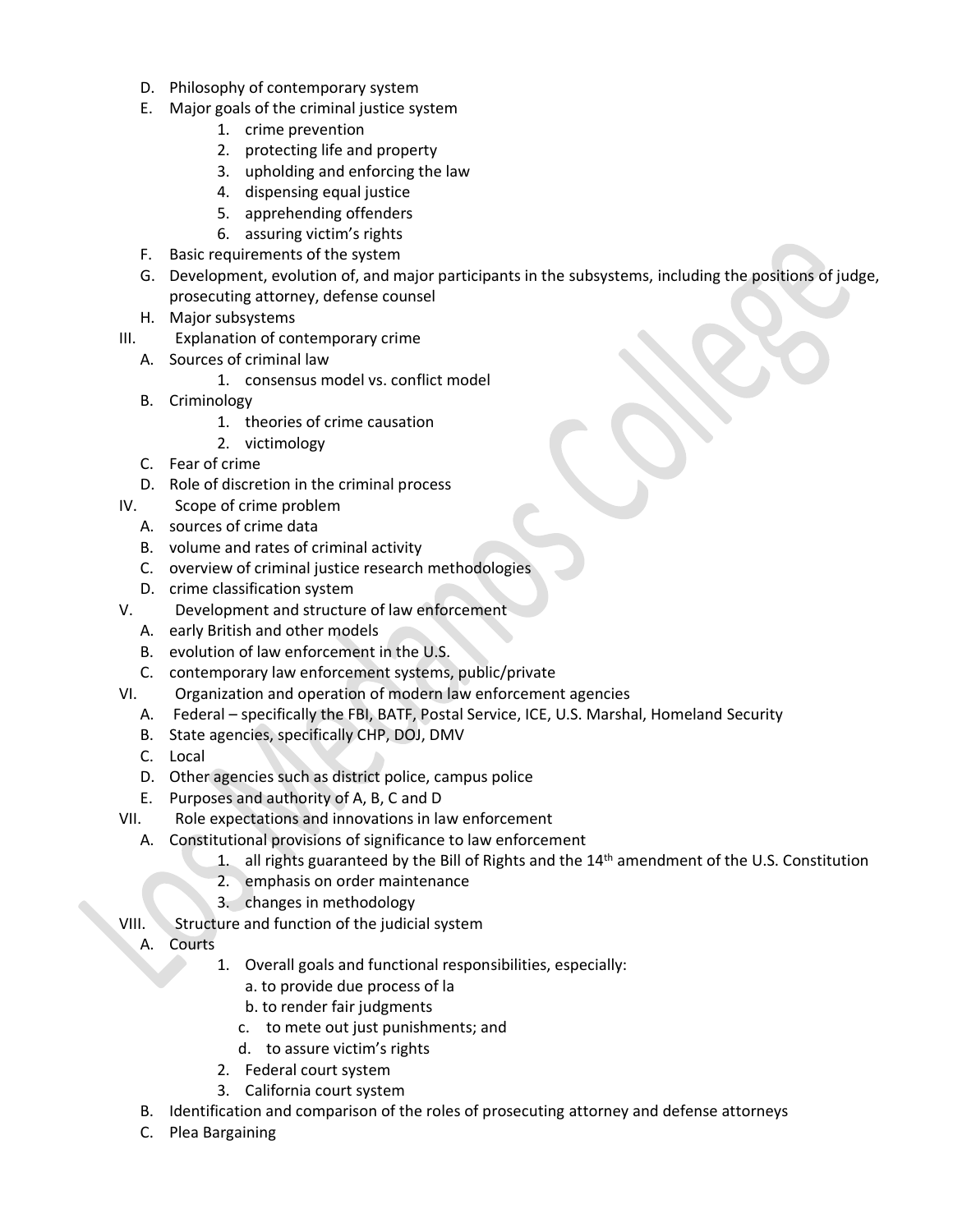- D. Philosophy of contemporary system
- E. Major goals of the criminal justice system
	- 1. crime prevention
	- 2. protecting life and property
	- 3. upholding and enforcing the law
	- 4. dispensing equal justice
	- 5. apprehending offenders
	- 6. assuring victim's rights
- F. Basic requirements of the system
- G. Development, evolution of, and major participants in the subsystems, including the positions of judge, prosecuting attorney, defense counsel
- H. Major subsystems
- III. Explanation of contemporary crime
	- A. Sources of criminal law
		- 1. consensus model vs. conflict model
	- B. Criminology
		- 1. theories of crime causation
		- 2. victimology
	- C. Fear of crime
	- D. Role of discretion in the criminal process
- IV. Scope of crime problem
	- A. sources of crime data
	- B. volume and rates of criminal activity
	- C. overview of criminal justice research methodologies
	- D. crime classification system
- V. Development and structure of law enforcement
	- A. early British and other models
	- B. evolution of law enforcement in the U.S.
	- C. contemporary law enforcement systems, public/private
- VI. Organization and operation of modern law enforcement agencies
	- A. Federal specifically the FBI, BATF, Postal Service, ICE, U.S. Marshal, Homeland Security
	- B. State agencies, specifically CHP, DOJ, DMV
	- C. Local
	- D. Other agencies such as district police, campus police
	- E. Purposes and authority of A, B, C and D
- VII. Role expectations and innovations in law enforcement
	- A. Constitutional provisions of significance to law enforcement
		- 1. all rights guaranteed by the Bill of Rights and the 14<sup>th</sup> amendment of the U.S. Constitution
		- 2. emphasis on order maintenance
		- 3. changes in methodology
- VIII. Structure and function of the judicial system
	- A. Courts
		- 1. Overall goals and functional responsibilities, especially:
			- a. to provide due process of la
			- b. to render fair judgments
			- c. to mete out just punishments; and
			- d. to assure victim's rights
		- 2. Federal court system
		- 3. California court system
	- B. Identification and comparison of the roles of prosecuting attorney and defense attorneys
	- C. Plea Bargaining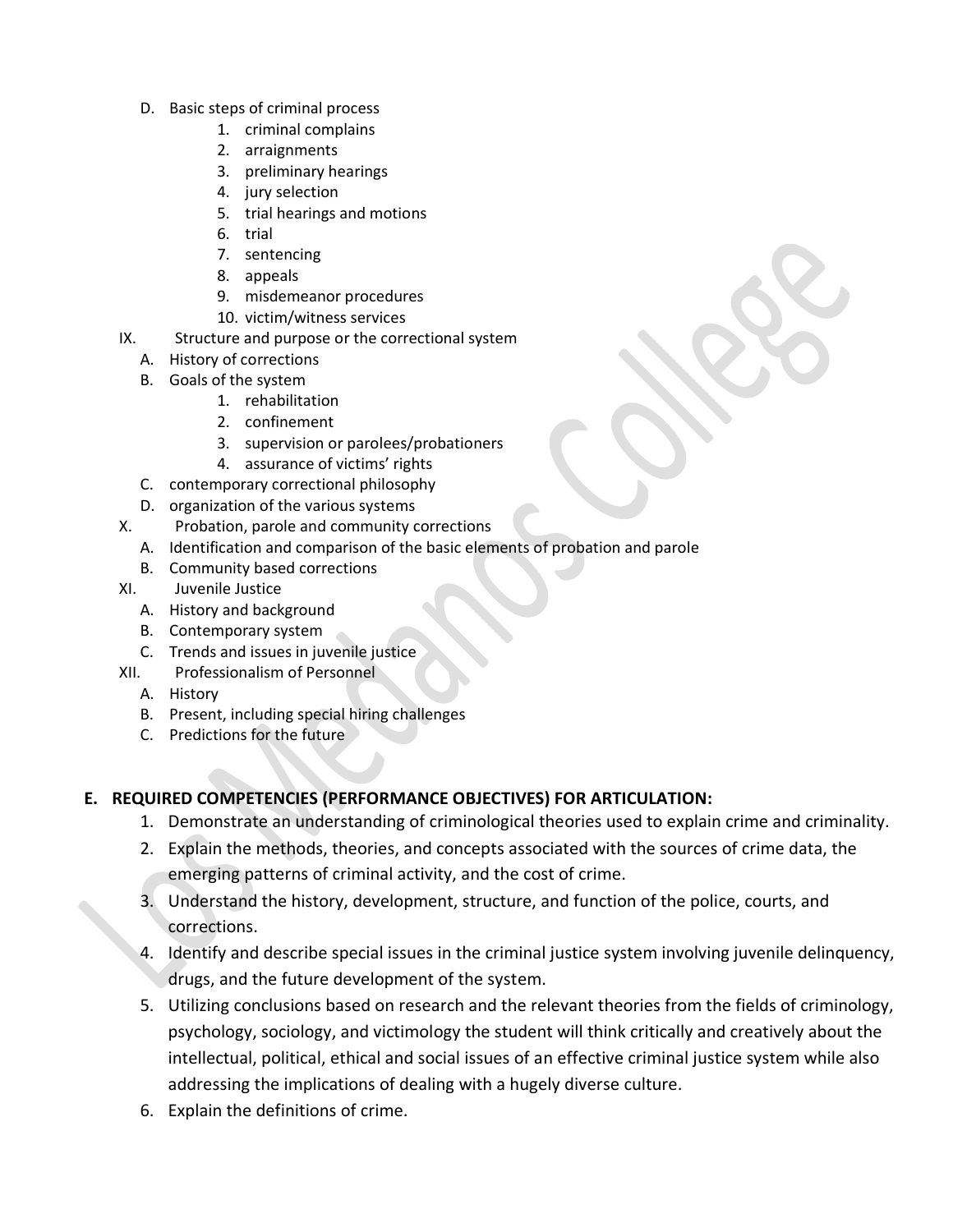- D. Basic steps of criminal process
	- 1. criminal complains
	- 2. arraignments
	- 3. preliminary hearings
	- 4. jury selection
	- 5. trial hearings and motions
	- 6. trial
	- 7. sentencing
	- 8. appeals
	- 9. misdemeanor procedures
	- 10. victim/witness services
- IX. Structure and purpose or the correctional system
	- A. History of corrections
	- B. Goals of the system
		- 1. rehabilitation
		- 2. confinement
		- 3. supervision or parolees/probationers
		- 4. assurance of victims' rights
	- C. contemporary correctional philosophy
	- D. organization of the various systems
- X. Probation, parole and community corrections
	- A. Identification and comparison of the basic elements of probation and parole
	- B. Community based corrections
- XI. Juvenile Justice
	- A. History and background
	- B. Contemporary system
	- C. Trends and issues in juvenile justice
- XII. Professionalism of Personnel
	- A. History
	- B. Present, including special hiring challenges
	- C. Predictions for the future

### **E. REQUIRED COMPETENCIES (PERFORMANCE OBJECTIVES) FOR ARTICULATION:**

- 1. Demonstrate an understanding of criminological theories used to explain crime and criminality.
- 2. Explain the methods, theories, and concepts associated with the sources of crime data, the emerging patterns of criminal activity, and the cost of crime.
- 3. Understand the history, development, structure, and function of the police, courts, and corrections.
- 4. Identify and describe special issues in the criminal justice system involving juvenile delinquency, drugs, and the future development of the system.
- 5. Utilizing conclusions based on research and the relevant theories from the fields of criminology, psychology, sociology, and victimology the student will think critically and creatively about the intellectual, political, ethical and social issues of an effective criminal justice system while also addressing the implications of dealing with a hugely diverse culture.
- 6. Explain the definitions of crime.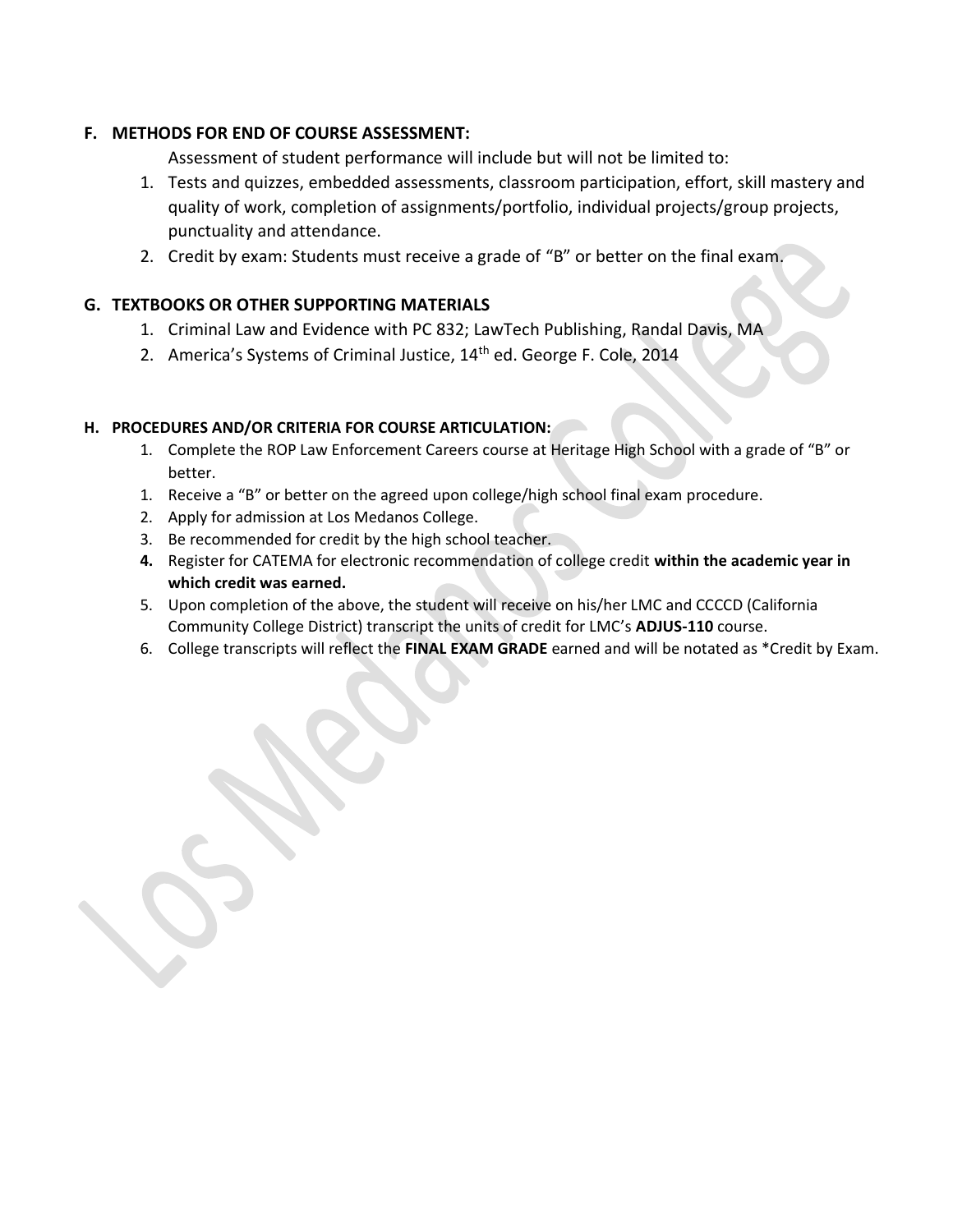### **F. METHODS FOR END OF COURSE ASSESSMENT:**

Assessment of student performance will include but will not be limited to:

- 1. Tests and quizzes, embedded assessments, classroom participation, effort, skill mastery and quality of work, completion of assignments/portfolio, individual projects/group projects, punctuality and attendance.
- 2. Credit by exam: Students must receive a grade of "B" or better on the final exam.

### **G. TEXTBOOKS OR OTHER SUPPORTING MATERIALS**

- 1. Criminal Law and Evidence with PC 832; LawTech Publishing, Randal Davis, MA
- 2. America's Systems of Criminal Justice, 14<sup>th</sup> ed. George F. Cole, 2014

### **H. PROCEDURES AND/OR CRITERIA FOR COURSE ARTICULATION:**

- 1. Complete the ROP Law Enforcement Careers course at Heritage High School with a grade of "B" or better.
- 1. Receive a "B" or better on the agreed upon college/high school final exam procedure.
- 2. Apply for admission at Los Medanos College.
- 3. Be recommended for credit by the high school teacher.
- **4.** Register for CATEMA for electronic recommendation of college credit **within the academic year in which credit was earned.**
- 5. Upon completion of the above, the student will receive on his/her LMC and CCCCD (California Community College District) transcript the units of credit for LMC's **ADJUS-110** course.
- 6. College transcripts will reflect the **FINAL EXAM GRADE** earned and will be notated as \*Credit by Exam.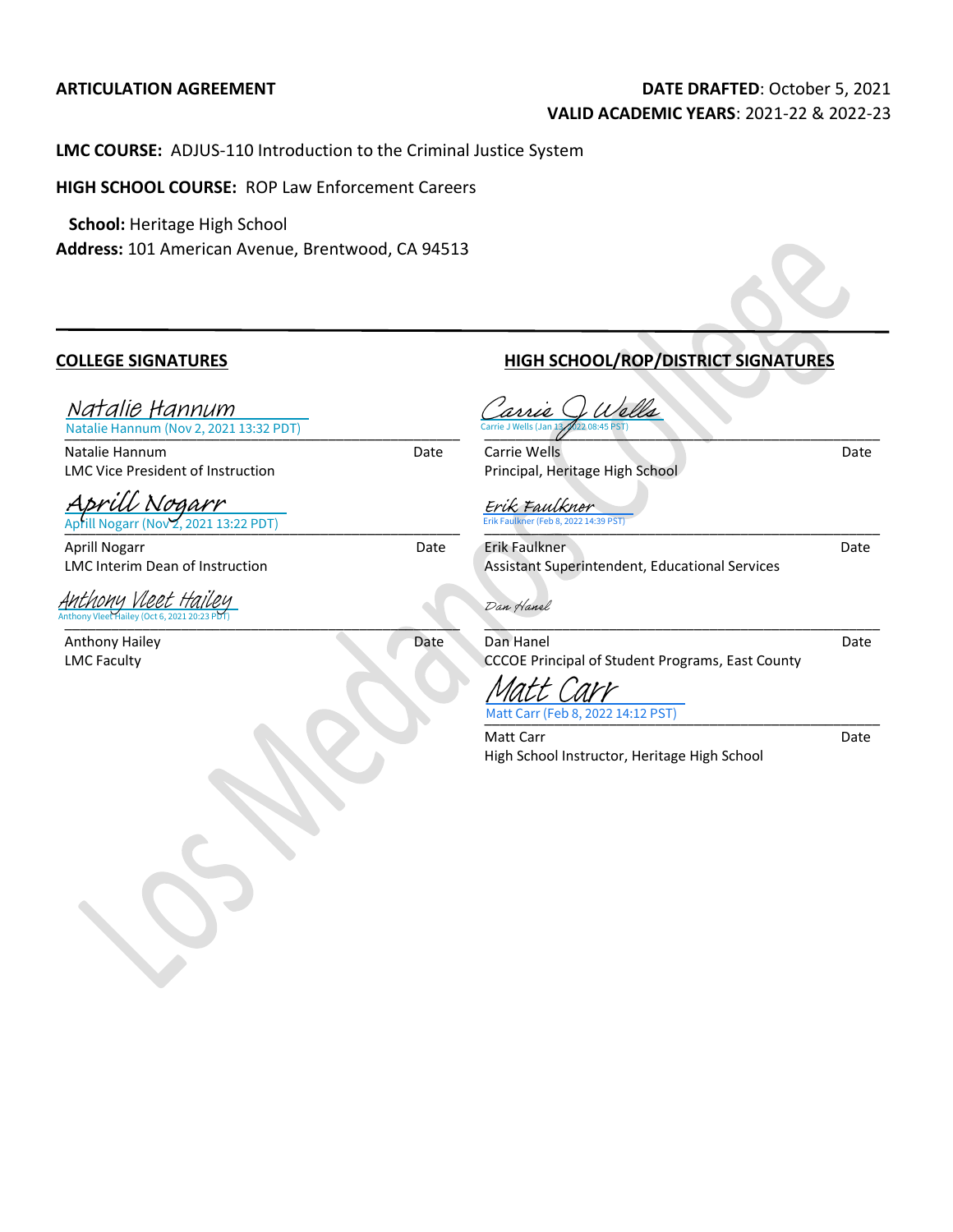### **ARTICULATION AGREEMENT DATE DRAFTED**: October 5, 2021 **VALID ACADEMIC YEARS**: 2021-22 & 2022-23

**LMC COURSE:** ADJUS-110 Introduction to the Criminal Justice System

**HIGH SCHOOL COURSE:** ROP Law Enforcement Careers

 **School:** Heritage High School **Address:** 101 American Avenue, Brentwood, CA 94513

[\\_\\_\\_\\_\\_\\_\\_\\_\\_\\_\\_\\_\\_\\_\\_\\_\\_\\_\\_\\_\\_\\_\\_\\_\\_\\_\\_\\_\\_\\_\\_\\_\\_\\_\\_\\_\\_\\_\\_\\_\\_\\_\\_\\_\\_](https://lmck-12partnership.na2.echosign.com/verifier?tx=CBJCHBCAABAAjQHWebDxbZPE5VBHVNfCHT25s8-TZ3sR)\_\_\_\_\_\_ Natalie Hannum (Nov 2, 2021 13:32 PDT) Natalie Hannum

Natalie Hannum Date LMC Vice President of Instruction

[Aprill Nogarr](https://lmck-12partnership.na2.echosign.com/verifier?tx=CBJCHBCAABAAjQHWebDxbZPE5VBHVNfCHT25s8-TZ3sR)<br>Aprill Nogarr (Nov 2, 2021 13:22 PDT)

Aprill Nogarr Date LMC Interim Dean of Instruction

Anthony Vleet Hailey (Oct 6, 2021 20:23 PDT) Anthony Vleet H

Anthony Hailey Date LMC Faculty

 $\blacksquare$  . The contract of the contract of the contract of the contract of the contract of the contract of the contract of the contract of the contract of the contract of the contract of the contract of the contract of the

### **COLLEGE SIGNATURES HIGH SCHOOL/ROP/DISTRICT SIGNATURES**

 $\frac{1}{2}$ Carrie Q Wells<br>[Carrie J Wells](https://lmck-12partnership.na2.echosign.com/verifier?tx=CBJCHBCAABAAjQHWebDxbZPE5VBHVNfCHT25s8-TZ3sR) (Jan 13 p2 08:45 PST)

**Carrie Wells** Date Date Date Principal, Heritage High School

[\\_\\_\\_\\_\\_\\_\\_\\_\\_\\_\\_\\_\\_\\_\\_\\_\\_\\_\\_\\_\\_\\_\\_\\_\\_\\_\\_\\_\\_\\_\\_\\_\\_\\_\\_\\_\\_\\_\\_\\_\\_\\_\\_](https://lmck-12partnership.na2.echosign.com/verifier?tx=CBJCHBCAABAAjQHWebDxbZPE5VBHVNfCHT25s8-TZ3sR)\_\_\_\_\_\_\_\_ Erik Faulkner (Feb 8, 2022 14:39 PST) Erik Faulkner

Erik Faulkner Date Assistant Superintendent, Educational Services

Dan Hanel

 $\overline{\phantom{a}}$  ,  $\overline{\phantom{a}}$  ,  $\overline{\phantom{a}}$  ,  $\overline{\phantom{a}}$  ,  $\overline{\phantom{a}}$  ,  $\overline{\phantom{a}}$  ,  $\overline{\phantom{a}}$  ,  $\overline{\phantom{a}}$  ,  $\overline{\phantom{a}}$  ,  $\overline{\phantom{a}}$  ,  $\overline{\phantom{a}}$  ,  $\overline{\phantom{a}}$  ,  $\overline{\phantom{a}}$  ,  $\overline{\phantom{a}}$  ,  $\overline{\phantom{a}}$  ,  $\overline{\phantom{a}}$ Dan Hanel **Date** CCCOE Principal of Student Programs, East County

[\\_\\_\\_\\_\\_\\_\\_\\_\\_\\_\\_\\_\\_\\_\\_\\_\\_\\_\\_\\_\\_\\_\\_\\_\\_\\_\\_\\_\\_\\_\\_\\_\\_\\_\\_\\_\\_\\_\\_\\_\\_\\_\\_\\_\\_\\_](https://lmck-12partnership.na2.echosign.com/verifier?tx=CBJCHBCAABAAjQHWebDxbZPE5VBHVNfCHT25s8-TZ3sR)\_\_\_\_\_ Matt Carr (Feb 8, 2022 14:12 PST) Matt Carr

Matt Carr **Date** 

High School Instructor, Heritage High School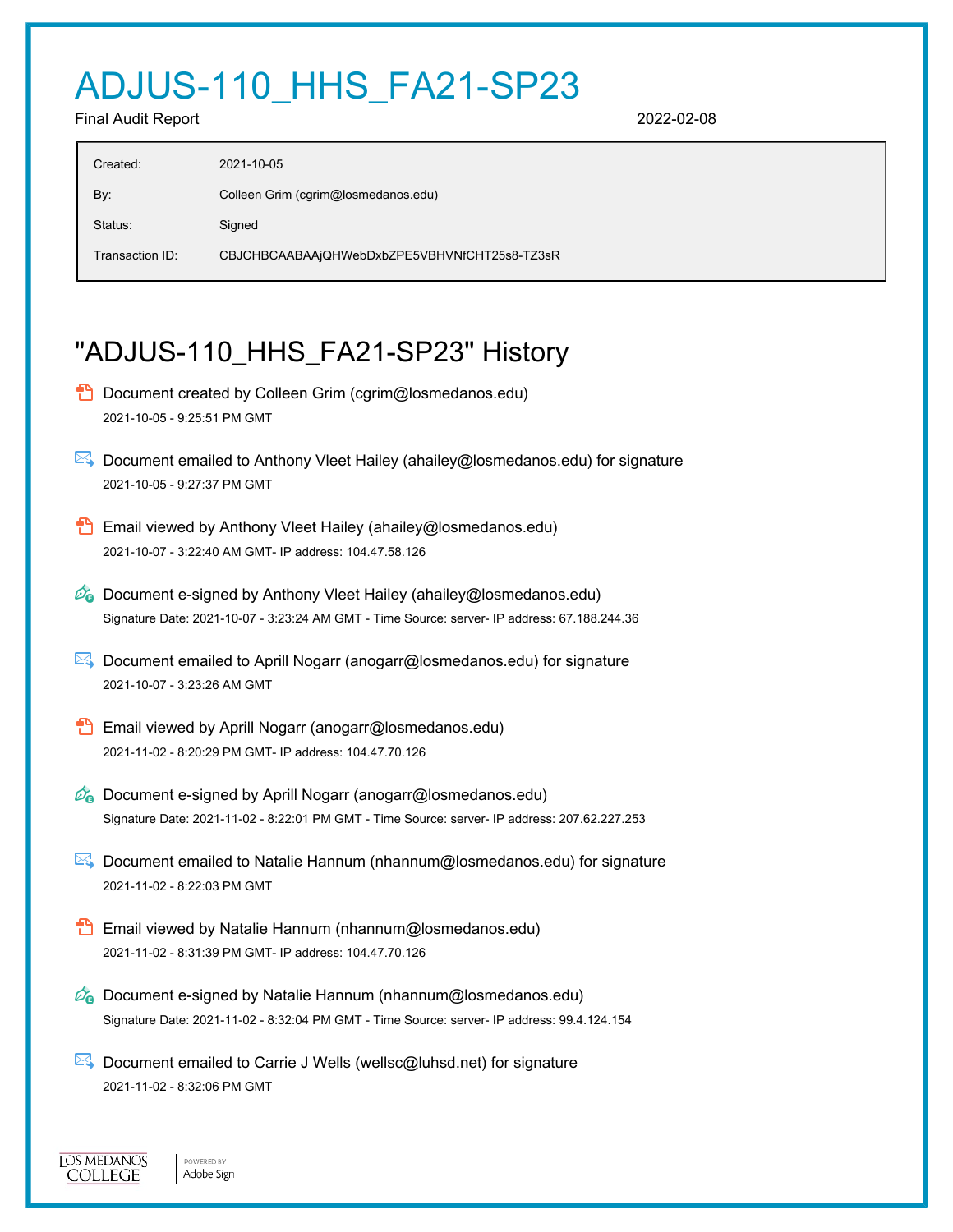# ADJUS-110\_HHS\_FA21-SP23

Final Audit Report 2022-02-08

| 2021-10-05                                   |
|----------------------------------------------|
| Colleen Grim (cgrim@losmedanos.edu)          |
| Signed                                       |
| CBJCHBCAABAAjQHWebDxbZPE5VBHVNfCHT25s8-TZ3sR |
|                                              |

## "ADJUS-110\_HHS\_FA21-SP23" History

- **D** Document created by Colleen Grim (cgrim@losmedanos.edu) 2021-10-05 - 9:25:51 PM GMT
- Document emailed to Anthony Vleet Hailey (ahailey@losmedanos.edu) for signature 2021-10-05 - 9:27:37 PM GMT
- **Email viewed by Anthony Vleet Hailey (ahailey@losmedanos.edu)** 2021-10-07 - 3:22:40 AM GMT- IP address: 104.47.58.126
- $\mathscr{O}_\bullet$  Document e-signed by Anthony Vleet Hailey (ahailey@losmedanos.edu) Signature Date: 2021-10-07 - 3:23:24 AM GMT - Time Source: server- IP address: 67.188.244.36
- $\mathbb{R}$  Document emailed to Aprill Nogarr (anogarr@losmedanos.edu) for signature 2021-10-07 - 3:23:26 AM GMT
- **Email viewed by Aprill Nogarr (anogarr@losmedanos.edu)** 2021-11-02 - 8:20:29 PM GMT- IP address: 104.47.70.126
- $\mathscr{O}_\mathbf{G}$  Document e-signed by Aprill Nogarr (anogarr@losmedanos.edu) Signature Date: 2021-11-02 - 8:22:01 PM GMT - Time Source: server- IP address: 207.62.227.253
- Document emailed to Natalie Hannum (nhannum@losmedanos.edu) for signature 2021-11-02 - 8:22:03 PM GMT
- **Email viewed by Natalie Hannum (nhannum@losmedanos.edu)** 2021-11-02 - 8:31:39 PM GMT- IP address: 104.47.70.126
- $\mathcal{O}_0$  Document e-signed by Natalie Hannum (nhannum@losmedanos.edu) Signature Date: 2021-11-02 - 8:32:04 PM GMT - Time Source: server- IP address: 99.4.124.154
- $\mathbb{E}$  Document emailed to Carrie J Wells (wellsc@luhsd.net) for signature 2021-11-02 - 8:32:06 PM GMT

**IOS MEDANOS COLLEGE** 

POWERED BY

Adobe Sign